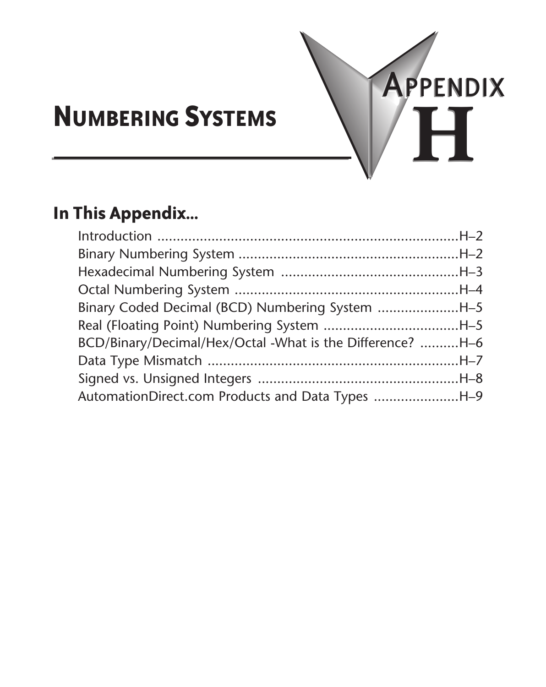

# **Numbering Systems**

# **In This Appendix...**

| Binary Coded Decimal (BCD) Numbering System H-5           |  |
|-----------------------------------------------------------|--|
| Real (Floating Point) Numbering System H-5                |  |
| BCD/Binary/Decimal/Hex/Octal -What is the Difference? H-6 |  |
|                                                           |  |
|                                                           |  |
| AutomationDirect.com Products and Data Types H-9          |  |
|                                                           |  |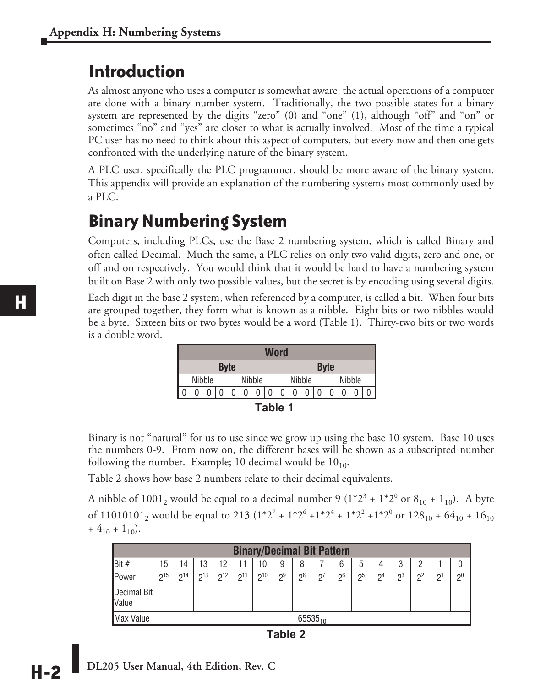## **Introduction**

As almost anyone who uses a computer is somewhat aware, the actual operations of a computer are done with a binary number system. Traditionally, the two possible states for a binary system are represented by the digits "zero" (0) and "one" (1), although "off" and "on" or sometimes "no" and "yes" are closer to what is actually involved. Most of the time a typical PC user has no need to think about this aspect of computers, but every now and then one gets confronted with the underlying nature of the binary system.

A PLC user, specifically the PLC programmer, should be more aware of the binary system. This appendix will provide an explanation of the numbering systems most commonly used by a PLC.

## **Binary Numbering System**

Computers, including PLCs, use the Base 2 numbering system, which is called Binary and often called Decimal. Much the same, a PLC relies on only two valid digits, zero and one, or off and on respectively. You would think that it would be hard to have a numbering system built on Base 2 with only two possible values, but the secret is by encoding using several digits.

Each digit in the base 2 system, when referenced by a computer, is called a bit. When four bits are grouped together, they form what is known as a nibble. Eight bits or two nibbles would be a byte. Sixteen bits or two bytes would be a word (Table 1). Thirty-two bits or two words is a double word.

|             | Word   |  |  |  |   |                                   |  |  |  |   |  |             |   |  |
|-------------|--------|--|--|--|---|-----------------------------------|--|--|--|---|--|-------------|---|--|
| <b>Byte</b> |        |  |  |  |   |                                   |  |  |  |   |  | <b>Byte</b> |   |  |
|             | Nibble |  |  |  |   | <b>Nibble</b><br>Nibble<br>Nibble |  |  |  |   |  |             |   |  |
|             |        |  |  |  | ٥ | 0                                 |  |  |  | 0 |  |             | O |  |
|             |        |  |  |  |   |                                   |  |  |  |   |  |             |   |  |

| חו<br>. . |  |  |
|-----------|--|--|
|-----------|--|--|

Binary is not "natural" for us to use since we grow up using the base 10 system. Base 10 uses the numbers 0-9. From now on, the different bases will be shown as a subscripted number following the number. Example; 10 decimal would be  $10_{10}$ .

Table 2 shows how base 2 numbers relate to their decimal equivalents.

A nibble of 1001<sub>2</sub> would be equal to a decimal number 9 ( $1*2^3 + 1*2^0$  or  $8_{10} + 1_{10}$ ). A byte of 11010101<sub>2</sub> would be equal to 213 ( $1*2^7 + 1*2^6 + 1*2^4 + 1*2^2 + 1*2^0$  or  $128_{10} + 64_{10} + 16_{10}$  $+$  4<sub>10</sub> + 1<sub>10</sub>).

|                               | <b>Binary/Decimal Bit Pattern</b> |              |             |                |     |     |    |    |          |    |    |                 |       |                |    |          |
|-------------------------------|-----------------------------------|--------------|-------------|----------------|-----|-----|----|----|----------|----|----|-----------------|-------|----------------|----|----------|
| Bit #                         | 15                                | 14           | 13          | 12             |     | 10  | 9  | 8  |          | 6  | 5  | 4               | 3     | ŋ              |    |          |
| <b>I</b> Power                | 215                               | n14          | $\sqrt{13}$ | $\mathsf{D}12$ | 211 | 210 | 29 | ე8 | $\Omega$ | 26 | 25 | $\mathcal{D}^4$ | $2^3$ | $\mathsf{D}^2$ | n. | $\Omega$ |
| Decimal Bit<br><b>I</b> Value |                                   |              |             |                |     |     |    |    |          |    |    |                 |       |                |    |          |
| Max Value                     |                                   | $65535_{10}$ |             |                |     |     |    |    |          |    |    |                 |       |                |    |          |

**Table 2**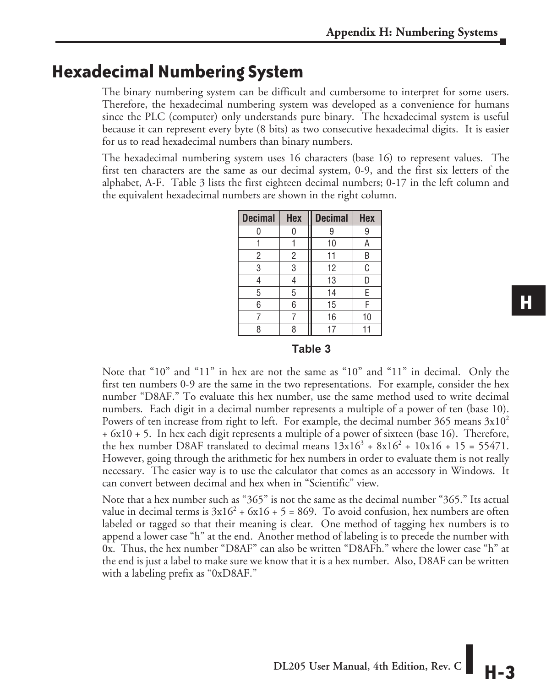### **Hexadecimal Numbering System**

The binary numbering system can be difficult and cumbersome to interpret for some users. Therefore, the hexadecimal numbering system was developed as a convenience for humans since the PLC (computer) only understands pure binary. The hexadecimal system is useful because it can represent every byte (8 bits) as two consecutive hexadecimal digits. It is easier for us to read hexadecimal numbers than binary numbers.

The hexadecimal numbering system uses 16 characters (base 16) to represent values. The first ten characters are the same as our decimal system, 0-9, and the first six letters of the alphabet, A-F. Table 3 lists the first eighteen decimal numbers; 0-17 in the left column and the equivalent hexadecimal numbers are shown in the right column.

| <b>Hex</b> | <b>Decimal</b> | <b>Hex</b> |
|------------|----------------|------------|
| 0          | 9              | 9          |
|            | 10             | Α          |
| 2          | 11             | B          |
| 3          | 12             | C          |
| 4          | 13             | D          |
| 5          | 14             | Ε          |
| 6          | 15             | F          |
| 7          | 16             | 10         |
| 8          | 17             |            |
|            |                |            |

#### **Table 3**

Note that "10" and "11" in hex are not the same as "10" and "11" in decimal. Only the first ten numbers 0-9 are the same in the two representations. For example, consider the hex number "D8AF." To evaluate this hex number, use the same method used to write decimal numbers. Each digit in a decimal number represents a multiple of a power of ten (base 10). Powers of ten increase from right to left. For example, the decimal number 365 means  $3x10^2$ + 6x10 + 5. In hex each digit represents a multiple of a power of sixteen (base 16). Therefore, the hex number D8AF translated to decimal means  $13x16^3 + 8x16^2 + 10x16 + 15 = 55471$ . However, going through the arithmetic for hex numbers in order to evaluate them is not really necessary. The easier way is to use the calculator that comes as an accessory in Windows. It can convert between decimal and hex when in "Scientific" view.

Note that a hex number such as "365" is not the same as the decimal number "365." Its actual value in decimal terms is  $3x16^2 + 6x16 + 5 = 869$ . To avoid confusion, hex numbers are often labeled or tagged so that their meaning is clear. One method of tagging hex numbers is to append a lower case "h" at the end. Another method of labeling is to precede the number with 0x. Thus, the hex number "D8AF" can also be written "D8AFh." where the lower case "h" at the end is just a label to make sure we know that it is a hex number. Also, D8AF can be written with a labeling prefix as "0xD8AF."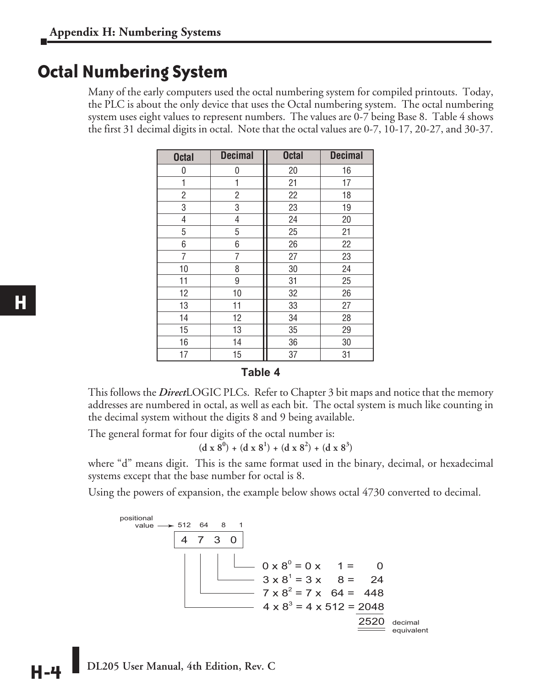### **Octal Numbering System**

Many of the early computers used the octal numbering system for compiled printouts. Today, the PLC is about the only device that uses the Octal numbering system. The octal numbering system uses eight values to represent numbers. The values are 0-7 being Base 8. Table 4 shows the first 31 decimal digits in octal. Note that the octal values are 0-7, 10-17, 20-27, and 30-37.

| <b>Octal</b>   | <b>Decimal</b> | <b>Octal</b> | <b>Decimal</b> |
|----------------|----------------|--------------|----------------|
| 0              | 0              | 20           | 16             |
| 1              | 1              | 21           | 17             |
| 2              | 2              | 22           | 18             |
| 3              | 3              | 23           | 19             |
| 4              | 4              | 24           | 20             |
| 5              | 5              | 25           | 21             |
| 6              | 6              | 26           | 22             |
| $\overline{7}$ | 7              | 27           | 23             |
| 10             | 8              | 30           | 24             |
| 11             | 9              | 31           | 25             |
| 12             | 10             | 32           | 26             |
| 13             | 11             | 33           | 27             |
| 14             | 12             | 34           | 28             |
| 15             | 13             | 35           | 29             |
| 16             | 14             | 36           | 30             |
| 17             | 15             | 37           | 31             |

#### **Table 4**

This follows the *Direct*LOGIC PLCs. Refer to Chapter 3 bit maps and notice that the memory addresses are numbered in octal, as well as each bit. The octal system is much like counting in the decimal system without the digits 8 and 9 being available.

The general format for four digits of the octal number is:

$$
(d x 80) + (d x 81) + (d x 82) + (d x 83)
$$

where "d" means digit. This is the same format used in the binary, decimal, or hexadecimal systems except that the base number for octal is 8.

Using the powers of expansion, the example below shows octal 4730 converted to decimal.

4 7 3 0  $\div 512$  $0 \times 8^0 = 0 \times 1 = 0$  $3 \times 8^1 = 3 \times 8 = 24$  $7 \times 8^2 = 7 \times 64 = 448$  $4 \times 8^3 = 4 \times 512 = 2048$ 2520 decimal positional value equivalent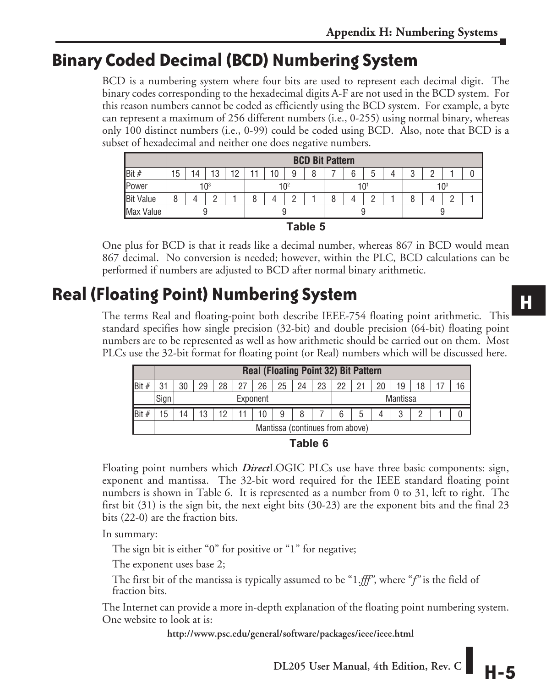# **Binary Coded Decimal (BCD) Numbering System**

BCD is a numbering system where four bits are used to represent each decimal digit. The binary codes corresponding to the hexadecimal digits A-F are not used in the BCD system. For this reason numbers cannot be coded as efficiently using the BCD system. For example, a byte can represent a maximum of 256 different numbers (i.e., 0-255) using normal binary, whereas only 100 distinct numbers (i.e., 0-99) could be coded using BCD. Also, note that BCD is a subset of hexadecimal and neither one does negative numbers.

|                  |          | <b>BCD Bit Pattern</b> |    |    |                 |    |   |  |     |   |   |  |                 |   |            |  |
|------------------|----------|------------------------|----|----|-----------------|----|---|--|-----|---|---|--|-----------------|---|------------|--|
| Bit#             | 15       | 14                     | 13 | 19 |                 | ١0 | 9 |  |     | 6 | 5 |  | Ω<br>υ          | C |            |  |
| Power            | $10^{3}$ |                        |    |    | 10 <sup>2</sup> |    |   |  | 101 |   |   |  | 10 <sup>0</sup> |   |            |  |
| <b>Bit Value</b> | 8        |                        |    |    | Ŏ               |    |   |  |     |   | C |  | 8               |   | $\sqrt{2}$ |  |
| Max Value        |          |                        |    |    | y               |    |   |  |     |   |   |  |                 |   |            |  |
|                  | Toble E  |                        |    |    |                 |    |   |  |     |   |   |  |                 |   |            |  |

**Table 5**

One plus for BCD is that it reads like a decimal number, whereas 867 in BCD would mean 867 decimal. No conversion is needed; however, within the PLC, BCD calculations can be performed if numbers are adjusted to BCD after normal binary arithmetic.

# **Real (Floating Point) Numbering System**

The terms Real and floating-point both describe IEEE-754 floating point arithmetic. This standard specifies how single precision (32-bit) and double precision (64-bit) floating point numbers are to be represented as well as how arithmetic should be carried out on them. Most PLCs use the 32-bit format for floating point (or Real) numbers which will be discussed here.

|        |      | <b>Real (Floating Point 32) Bit Pattern</b> |                                    |    |    |    |    |    |    |    |    |                 |    |  |  |  |  |  |
|--------|------|---------------------------------------------|------------------------------------|----|----|----|----|----|----|----|----|-----------------|----|--|--|--|--|--|
| IBit # | 21   | 30                                          | 29                                 | 28 | 27 | 26 | 25 | 24 | 23 | 22 | 21 | 20              | 19 |  |  |  |  |  |
|        | Sign | Exponent                                    |                                    |    |    |    |    |    |    |    |    | <b>Mantissa</b> |    |  |  |  |  |  |
|        | 5    | $\overline{4}$                              | 12<br>13<br>8<br>10<br>9<br>6<br>o |    |    |    |    |    |    |    |    |                 |    |  |  |  |  |  |
|        |      | Mantissa (continues from above)             |                                    |    |    |    |    |    |    |    |    |                 |    |  |  |  |  |  |

|  | aDP. |  |  |
|--|------|--|--|
|--|------|--|--|

Floating point numbers which *Direct*LOGIC PLCs use have three basic components: sign, exponent and mantissa. The 32-bit word required for the IEEE standard floating point numbers is shown in Table 6. It is represented as a number from 0 to 31, left to right. The first bit (31) is the sign bit, the next eight bits (30-23) are the exponent bits and the final 23 bits (22-0) are the fraction bits.

In summary:

The sign bit is either "0" for positive or "1" for negative;

The exponent uses base 2;

The first bit of the mantissa is typically assumed to be "1.*fff"*, where "*f"* is the field of fraction bits.

The Internet can provide a more in-depth explanation of the floating point numbering system. One website to look at is:

**http://www.psc.edu/general/software/packages/ieee/ieee.html**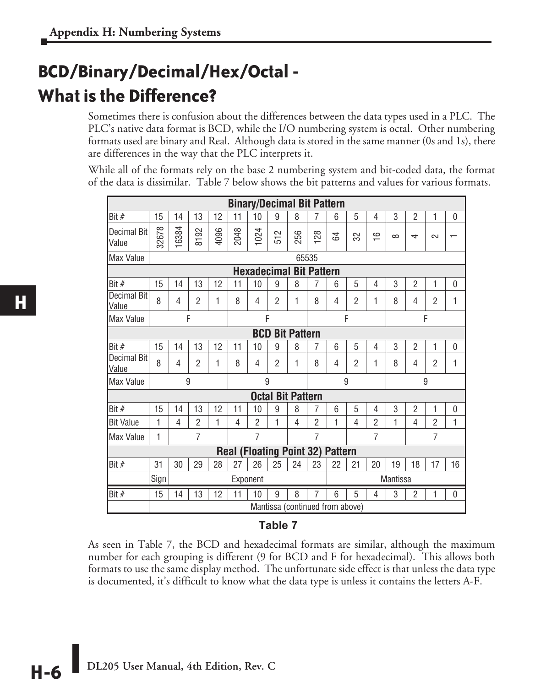# **BCD/Binary/Decimal/Hex/Octal - What is the Difference?**

Sometimes there is confusion about the differences between the data types used in a PLC. The PLC's native data format is BCD, while the I/O numbering system is octal. Other numbering formats used are binary and Real. Although data is stored in the same manner (0s and 1s), there are differences in the way that the PLC interprets it.

While all of the formats rely on the base 2 numbering system and bit-coded data, the format of the data is dissimilar. Table 7 below shows the bit patterns and values for various formats.

|                      |             |                                  |                |      |                                 | <b>Binary/Decimal Bit Pattern</b> |                |                          |                |                |                |                |                 |                |                |              |
|----------------------|-------------|----------------------------------|----------------|------|---------------------------------|-----------------------------------|----------------|--------------------------|----------------|----------------|----------------|----------------|-----------------|----------------|----------------|--------------|
| Bit #                | 15          | 14                               | 13             | 12   | 11                              | 10                                | 9              | 8                        | 7              | 6              | 5              | 4              | 3               | $\overline{2}$ | 1              | $\mathbf{0}$ |
| Decimal Bit<br>Value | 32678       | 16384                            | 8192           | 4096 | 2048                            | 1024                              | $\sim$<br>55   | 256                      | 128            | 54             | 32             | $\frac{6}{1}$  | $\infty$        | 4              | $\sim$         |              |
| Max Value            |             |                                  |                |      |                                 |                                   |                |                          | 65535          |                |                |                |                 |                |                |              |
|                      |             |                                  |                |      |                                 | <b>Hexadecimal Bit Pattern</b>    |                |                          |                |                |                |                |                 |                |                |              |
| Bit #                | 15          | 14                               | 13             | 12   | 11                              | 10                                | 9              | 8                        | 7              | 6              | 5              | 4              | 3               | $\overline{2}$ | 1              | $\mathbf{0}$ |
| Decimal Bit<br>Value | 8           | 4                                | $\overline{2}$ | 1    | 8                               | 4                                 | $\overline{2}$ | 1                        | 8              | 4              | $\overline{2}$ | 1              | 8               | 4              | $\overline{2}$ | 1            |
| Max Value            | F<br>F<br>F |                                  |                |      |                                 |                                   |                |                          |                |                |                |                |                 |                | F              |              |
|                      |             |                                  |                |      |                                 | <b>BCD</b>                        |                | <b>Bit Pattern</b>       |                |                |                |                |                 |                |                |              |
| Bit $#$              | 15          | 14                               | 13             | 12   | 11                              | 10                                | 9              | 8                        | 7              | 6              | 5              | 4              | 3               | $\overline{2}$ | 1              | 0            |
| Decimal Bit<br>Value | 8           | 4                                | $\overline{2}$ | 1    | 8                               | 4                                 | $\overline{2}$ | 1                        | 8              | 4              | $\overline{2}$ | 1              | 8               | 4              | $\overline{2}$ | 1            |
| Max Value            |             | 9                                |                |      |                                 | 9                                 |                | 9                        |                |                |                |                | 9               |                |                |              |
|                      |             |                                  |                |      |                                 |                                   |                | <b>Octal Bit Pattern</b> |                |                |                |                |                 |                |                |              |
| Bit #                | 15          | 14                               | 13             | 12   | 11                              | 10                                | 9              | 8                        | 7              | 6              | 5              | 4              | 3               | $\overline{2}$ | 1              | 0            |
| <b>Bit Value</b>     | 1           | $\overline{4}$                   | $\overline{2}$ | 1    | 4                               | $\overline{2}$                    | 1              | $\overline{4}$           | $\overline{2}$ | 1              | $\overline{4}$ | $\overline{2}$ | 1               | $\overline{4}$ | $\overline{2}$ | 1            |
| Max Value            | 1           | $\overline{7}$<br>$\overline{7}$ |                |      |                                 |                                   |                |                          |                |                |                | $\overline{7}$ |                 |                | $\overline{7}$ |              |
|                      |             |                                  |                |      | <b>Real (Floating Point 32)</b> |                                   |                |                          |                | <b>Pattern</b> |                |                |                 |                |                |              |
| lBit #               | 31          | 30                               | 29             | 28   | 27                              | 26                                | 25             | 24                       | 23             | 22             | 21             | 20             | 19              | 18             | 17             | 16           |
|                      | Sign        |                                  |                |      |                                 | Exponent                          |                |                          |                |                |                |                | <b>Mantissa</b> |                |                |              |
| Bit #                | 15          | 14                               | 13             | 12   | 11                              | 10                                | 9              | 8                        | 7              | 6              | 5              | 4              | 3               | $\overline{2}$ | 1              | $\mathbf{0}$ |
|                      |             | Mantissa (continued from above)  |                |      |                                 |                                   |                |                          |                |                |                |                |                 |                |                |              |

#### **Table 7**

As seen in Table 7, the BCD and hexadecimal formats are similar, although the maximum number for each grouping is different (9 for BCD and F for hexadecimal). This allows both formats to use the same display method. The unfortunate side effect is that unless the data type is documented, it's difficult to know what the data type is unless it contains the letters A-F.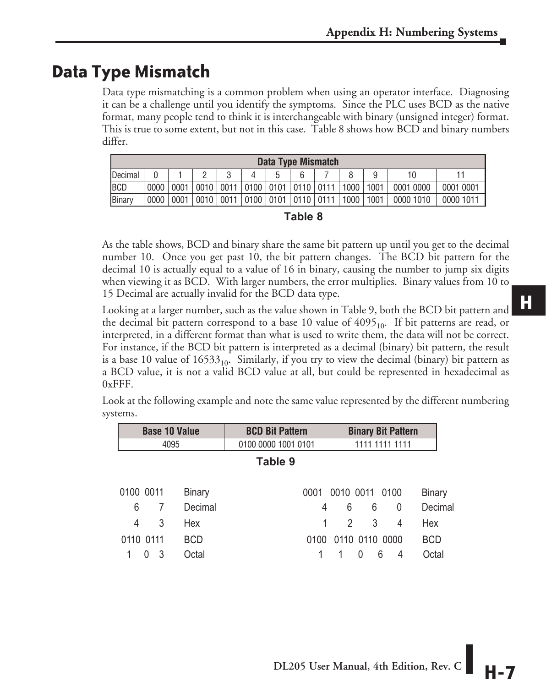# **Data Type Mismatch**

**The Company** 

Data type mismatching is a common problem when using an operator interface. Diagnosing it can be a challenge until you identify the symptoms. Since the PLC uses BCD as the native format, many people tend to think it is interchangeable with binary (unsigned integer) format. This is true to some extent, but not in this case. Table 8 shows how BCD and binary numbers differ.

|                 | Data Type Mismatch |      |  |  |  |  |                                         |  |      |      |           |           |
|-----------------|--------------------|------|--|--|--|--|-----------------------------------------|--|------|------|-----------|-----------|
| <b>IDecimal</b> |                    |      |  |  |  |  | b                                       |  |      |      | 10        |           |
| <b>IBCD</b>     | 0000               | 0001 |  |  |  |  | 0010 0011 0100 0101 0110 0111 1000      |  |      | 1001 | 0001 0000 | 0001 0001 |
| <b>Binary</b>   | 0000               | 0001 |  |  |  |  | 0010   0011   0100   0101   0110   0111 |  | 1000 | 1001 | 0000 1010 | 0000 1011 |

| u<br>×<br>۰. |  |
|--------------|--|
|--------------|--|

As the table shows, BCD and binary share the same bit pattern up until you get to the decimal number 10. Once you get past 10, the bit pattern changes. The BCD bit pattern for the decimal 10 is actually equal to a value of 16 in binary, causing the number to jump six digits when viewing it as BCD. With larger numbers, the error multiplies. Binary values from 10 to 15 Decimal are actually invalid for the BCD data type.

Looking at a larger number, such as the value shown in Table 9, both the BCD bit pattern and the decimal bit pattern correspond to a base 10 value of  $4095<sub>10</sub>$ . If bit patterns are read, or interpreted, in a different format than what is used to write them, the data will not be correct. For instance, if the BCD bit pattern is interpreted as a decimal (binary) bit pattern, the result is a base 10 value of  $16533<sub>10</sub>$ . Similarly, if you try to view the decimal (binary) bit pattern as a BCD value, it is not a valid BCD value at all, but could be represented in hexadecimal as 0xFFF.

|         |              | <b>DASC TO VAIUC</b> | DUD DIL I ALGHI     | <b>DIREY DIL I ALIGIII</b>   |
|---------|--------------|----------------------|---------------------|------------------------------|
|         |              | 4095                 | 0100 0000 1001 0101 | 1111 1111 1111               |
| Table 9 |              |                      |                     |                              |
|         | 0100 0011    | <b>Binary</b>        | 0001                | 0010 0011 0100<br>Binary     |
|         | 6<br>7       | Decimal              | 4                   | Decimal<br>6<br>6<br>0       |
|         | 3<br>4       | Hex                  | 1                   | 3<br>Hex<br>2<br>4           |
|         | 0110 0111    | <b>BCD</b>           | 0100                | 0110 0110 0000<br><b>BCD</b> |
|         | -3<br>$\cup$ | Octal                |                     | Octal<br>6<br>0<br>4         |

**Base 10 Value BCD Bit Pattern Binary Bit Pattern** 

Look at the following example and note the same value represented by the different numbering systems.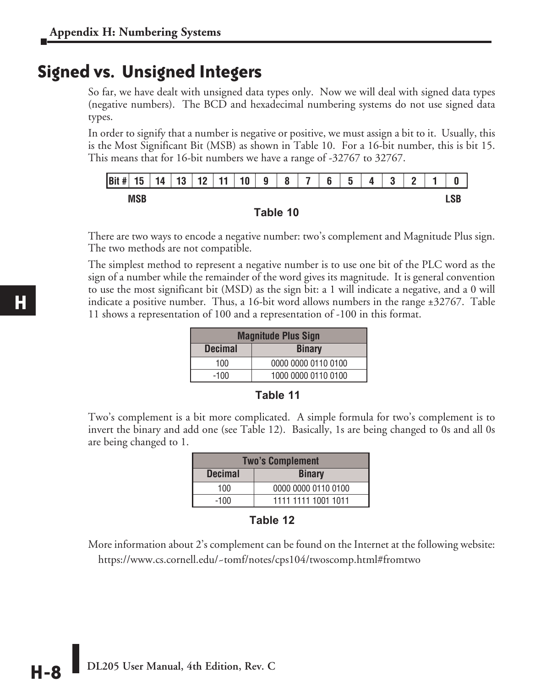### **Signed vs. Unsigned Integers**

So far, we have dealt with unsigned data types only. Now we will deal with signed data types (negative numbers). The BCD and hexadecimal numbering systems do not use signed data types.

In order to signify that a number is negative or positive, we must assign a bit to it. Usually, this is the Most Significant Bit (MSB) as shown in Table 10. For a 16-bit number, this is bit 15. This means that for 16-bit numbers we have a range of -32767 to 32767.





There are two ways to encode a negative number: two's complement and Magnitude Plus sign. The two methods are not compatible.

The simplest method to represent a negative number is to use one bit of the PLC word as the sign of a number while the remainder of the word gives its magnitude. It is general convention to use the most significant bit (MSD) as the sign bit: a 1 will indicate a negative, and a 0 will indicate a positive number. Thus, a 16-bit word allows numbers in the range ±32767. Table 11 shows a representation of 100 and a representation of -100 in this format.

|                | <b>Magnitude Plus Sign</b> |  |  |
|----------------|----------------------------|--|--|
| <b>Decimal</b> | <b>Binary</b>              |  |  |
| 100            | 0000 0000 0110 0100        |  |  |
| $-100$         | 1000 0000 0110 0100        |  |  |

#### **Table 11**

Two's complement is a bit more complicated. A simple formula for two's complement is to invert the binary and add one (see Table 12). Basically, 1s are being changed to 0s and all 0s are being changed to 1.

| <b>Two's Complement</b> |                     |  |  |
|-------------------------|---------------------|--|--|
| <b>Decimal</b>          | <b>Binary</b>       |  |  |
| 100                     | 0000 0000 0110 0100 |  |  |
| $-100$                  | 1111 1111 1001 1011 |  |  |

#### **Table 12**

More information about 2's complement can be found on the Internet at the following website: https://www.cs.cornell.edu/~tomf/notes/cps104/twoscomp.html#fromtwo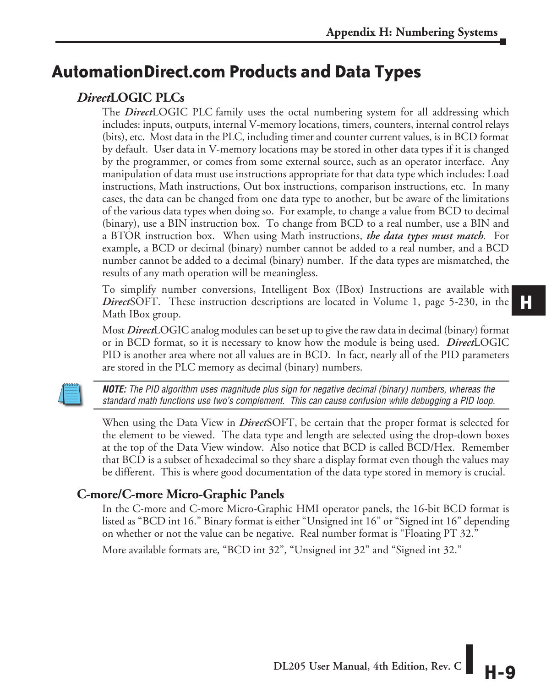# **AutomationDirect.com Products and Data Types**

### *Direct***LOGIC PLCs**

The *Direct*LOGIC PLC family uses the octal numbering system for all addressing which includes: inputs, outputs, internal V-memory locations, timers, counters, internal control relays (bits), etc. Most data in the PLC, including timer and counter current values, is in BCD format by default. User data in V-memory locations may be stored in other data types if it is changed by the programmer, or comes from some external source, such as an operator interface. Any manipulation of data must use instructions appropriate for that data type which includes: Load instructions, Math instructions, Out box instructions, comparison instructions, etc. In many cases, the data can be changed from one data type to another, but be aware of the limitations of the various data types when doing so. For example, to change a value from BCD to decimal (binary), use a BIN instruction box. To change from BCD to a real number, use a BIN and a BTOR instruction box. When using Math instructions, *the data types must match.* For example, a BCD or decimal (binary) number cannot be added to a real number, and a BCD number cannot be added to a decimal (binary) number. If the data types are mismatched, the results of any math operation will be meaningless.

To simplify number conversions, Intelligent Box (IBox) Instructions are available with *Direct*SOFT. These instruction descriptions are located in Volume 1, page 5-230, in the Math IBox group.

Most *Direct*LOGIC analog modules can be set up to give the raw data in decimal (binary) format or in BCD format, so it is necessary to know how the module is being used. *Direct*LOGIC PID is another area where not all values are in BCD. In fact, nearly all of the PID parameters are stored in the PLC memory as decimal (binary) numbers.

*NOTE: The PID algorithm uses magnitude plus sign for negative decimal (binary) numbers, whereas the standard math functions use two's complement. This can cause confusion while debugging a PID loop.*

When using the Data View in *Direct*SOFT, be certain that the proper format is selected for the element to be viewed. The data type and length are selected using the drop-down boxes at the top of the Data View window. Also notice that BCD is called BCD/Hex. Remember that BCD is a subset of hexadecimal so they share a display format even though the values may be different. This is where good documentation of the data type stored in memory is crucial.

#### **C-more/C-more Micro-Graphic Panels**

In the C-more and C-more Micro-Graphic HMI operator panels, the 16-bit BCD format is listed as "BCD int 16." Binary format is either "Unsigned int 16" or "Signed int 16" depending on whether or not the value can be negative. Real number format is "Floating PT 32."

More available formats are, "BCD int 32", "Unsigned int 32" and "Signed int 32."